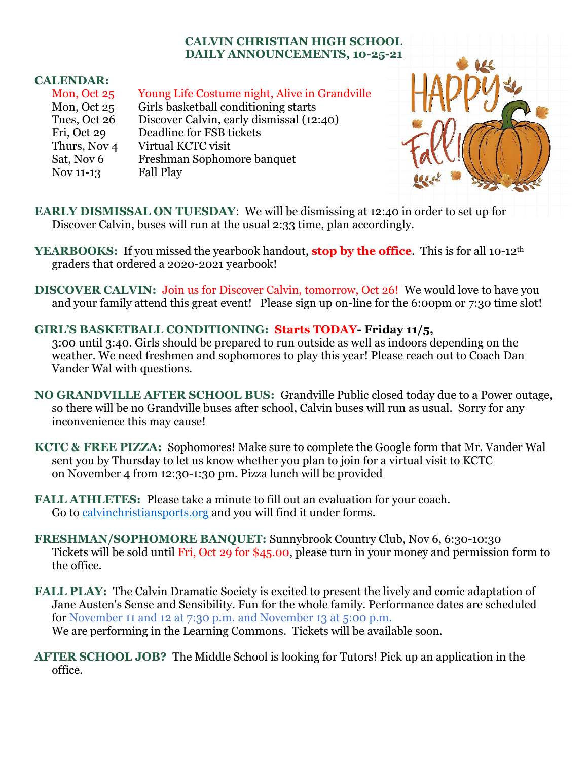## **CALVIN CHRISTIAN HIGH SCHOOL DAILY ANNOUNCEMENTS, 10-25-21**

## **CALENDAR:**

| Mon, Oct 25  | Young Life Costume night, Alive in Grandville |
|--------------|-----------------------------------------------|
| Mon, Oct 25  | Girls basketball conditioning starts          |
| Tues, Oct 26 | Discover Calvin, early dismissal (12:40)      |
| Fri, Oct 29  | Deadline for FSB tickets                      |
| Thurs, Nov 4 | Virtual KCTC visit                            |
| Sat, Nov 6   | Freshman Sophomore banquet                    |
| Nov 11-13    | <b>Fall Play</b>                              |



**EARLY DISMISSAL ON TUESDAY**: We will be dismissing at 12:40 in order to set up for Discover Calvin, buses will run at the usual 2:33 time, plan accordingly.

- **YEARBOOKS:** If you missed the yearbook handout, **stop by the office**. This is for all 10-12<sup>th</sup> graders that ordered a 2020-2021 yearbook!
- **DISCOVER CALVIN:** Join us for Discover Calvin, tomorrow, Oct 26! We would love to have you and your family attend this great event! Please sign up on-line for the 6:00pm or 7:30 time slot!

## **GIRL'S BASKETBALL CONDITIONING: Starts TODAY- Friday 11/5,**

3:00 until 3:40. Girls should be prepared to run outside as well as indoors depending on the weather. We need freshmen and sophomores to play this year! Please reach out to Coach Dan Vander Wal with questions.

- **NO GRANDVILLE AFTER SCHOOL BUS:** Grandville Public closed today due to a Power outage, so there will be no Grandville buses after school, Calvin buses will run as usual. Sorry for any inconvenience this may cause!
- **KCTC & FREE PIZZA:** Sophomores! Make sure to complete the Google form that Mr. Vander Wal sent you by Thursday to let us know whether you plan to join for a virtual visit to KCTC on November 4 from 12:30-1:30 pm. Pizza lunch will be provided
- **FALL ATHLETES:** Please take a minute to fill out an evaluation for your coach. Go to [calvinchristiansports.org](https://calvinchristiansports.org/) and you will find it under forms.
- **FRESHMAN/SOPHOMORE BANQUET:** Sunnybrook Country Club, Nov 6, 6:30-10:30 Tickets will be sold until Fri, Oct 29 for \$45.00, please turn in your money and permission form to the office.
- **FALL PLAY:** The Calvin Dramatic Society is excited to present the lively and comic adaptation of Jane Austen's Sense and Sensibility. Fun for the whole family. Performance dates are scheduled for November 11 and 12 at 7:30 p.m. and November 13 at 5:00 p.m. We are performing in the Learning Commons. Tickets will be available soon.
- **AFTER SCHOOL JOB?** The Middle School is looking for Tutors! Pick up an application in the office.